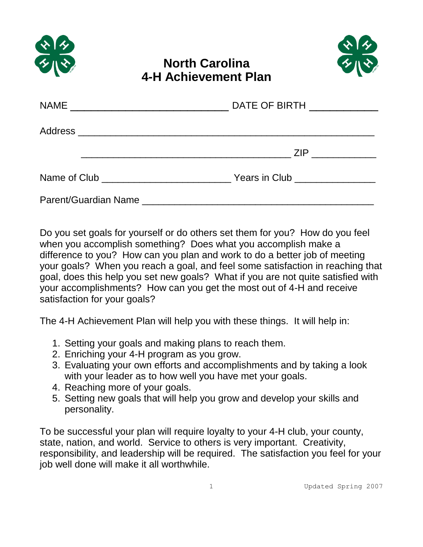



## **North Carolina 4-H Achievement Plan**

|                      | DATE OF BIRTH _____________ |  |
|----------------------|-----------------------------|--|
|                      |                             |  |
|                      | ZIP ___________             |  |
|                      |                             |  |
| Parent/Guardian Name |                             |  |

Do you set goals for yourself or do others set them for you? How do you feel when you accomplish something? Does what you accomplish make a difference to you? How can you plan and work to do a better job of meeting your goals? When you reach a goal, and feel some satisfaction in reaching that goal, does this help you set new goals? What if you are not quite satisfied with your accomplishments? How can you get the most out of 4-H and receive satisfaction for your goals?

The 4-H Achievement Plan will help you with these things. It will help in:

- 1. Setting your goals and making plans to reach them.
- 2. Enriching your 4-H program as you grow.
- 3. Evaluating your own efforts and accomplishments and by taking a look with your leader as to how well you have met your goals.
- 4. Reaching more of your goals.
- 5. Setting new goals that will help you grow and develop your skills and personality.

To be successful your plan will require loyalty to your 4-H club, your county, state, nation, and world. Service to others is very important. Creativity, responsibility, and leadership will be required. The satisfaction you feel for your job well done will make it all worthwhile.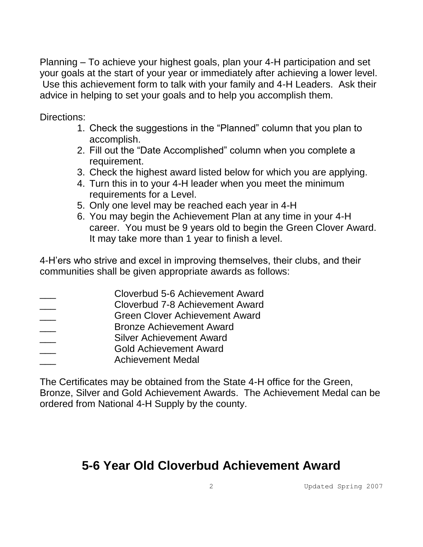Planning – To achieve your highest goals, plan your 4-H participation and set your goals at the start of your year or immediately after achieving a lower level. Use this achievement form to talk with your family and 4-H Leaders. Ask their advice in helping to set your goals and to help you accomplish them.

Directions:

- 1. Check the suggestions in the "Planned" column that you plan to accomplish.
- 2. Fill out the "Date Accomplished" column when you complete a requirement.
- 3. Check the highest award listed below for which you are applying.
- 4. Turn this in to your 4-H leader when you meet the minimum requirements for a Level.
- 5. Only one level may be reached each year in 4-H
- 6. You may begin the Achievement Plan at any time in your 4-H career. You must be 9 years old to begin the Green Clover Award. It may take more than 1 year to finish a level.

4-H'ers who strive and excel in improving themselves, their clubs, and their communities shall be given appropriate awards as follows:

- \_\_\_ Cloverbud 5-6 Achievement Award
- \_\_\_ Cloverbud 7-8 Achievement Award
- \_\_\_ Green Clover Achievement Award
- \_\_\_ Bronze Achievement Award
- Silver Achievement Award
- \_\_\_ Gold Achievement Award
- \_\_\_ Achievement Medal

The Certificates may be obtained from the State 4-H office for the Green, Bronze, Silver and Gold Achievement Awards. The Achievement Medal can be ordered from National 4-H Supply by the county.

# **5-6 Year Old Cloverbud Achievement Award**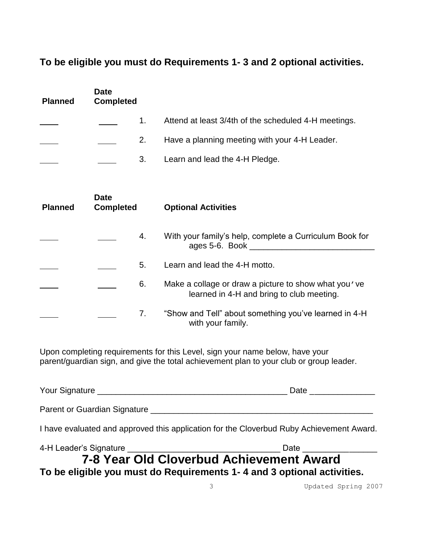#### **To be eligible you must do Requirements 1- 3 and 2 optional activities.**

| <b>Planned</b> | <b>Date</b><br><b>Completed</b> |    |                                                                                                   |
|----------------|---------------------------------|----|---------------------------------------------------------------------------------------------------|
|                |                                 | 1. | Attend at least 3/4th of the scheduled 4-H meetings.                                              |
|                |                                 | 2. | Have a planning meeting with your 4-H Leader.                                                     |
|                |                                 | 3. | Learn and lead the 4-H Pledge.                                                                    |
| <b>Planned</b> | <b>Date</b><br><b>Completed</b> |    | <b>Optional Activities</b>                                                                        |
|                |                                 |    |                                                                                                   |
|                |                                 | 4. | With your family's help, complete a Curriculum Book for                                           |
|                |                                 | 5. | Learn and lead the 4-H motto.                                                                     |
|                |                                 | 6. | Make a collage or draw a picture to show what you've<br>learned in 4-H and bring to club meeting. |

Upon completing requirements for this Level, sign your name below, have your parent/guardian sign, and give the total achievement plan to your club or group leader.

| Your Signature <u>New Your Signature</u>                                                 | Date ______________ |
|------------------------------------------------------------------------------------------|---------------------|
| Parent or Guardian Signature                                                             |                     |
| I have evaluated and approved this application for the Cloverbud Ruby Achievement Award. |                     |
|                                                                                          |                     |
| 7-8 Year Old Cloverbud Achievement Award                                                 |                     |
| To be eligible you must do Requirements 1-4 and 3 optional activities.                   |                     |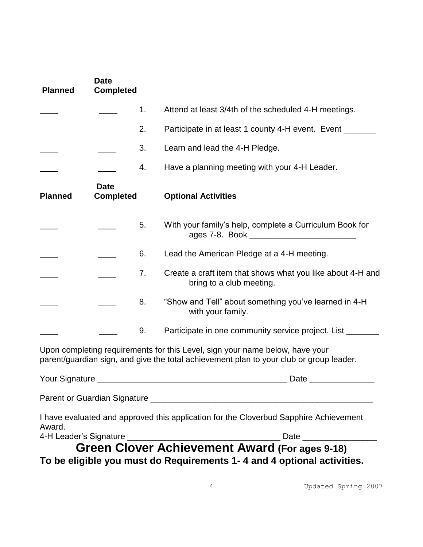| <b>Planned</b>   | <b>Date</b><br><b>Completed</b> |    |                                                                                                                                                                         |
|------------------|---------------------------------|----|-------------------------------------------------------------------------------------------------------------------------------------------------------------------------|
|                  |                                 | 1. | Attend at least 3/4th of the scheduled 4-H meetings.                                                                                                                    |
|                  |                                 | 2. | Participate in at least 1 county 4-H event. Event ____                                                                                                                  |
|                  |                                 | 3. | Learn and lead the 4-H Pledge.                                                                                                                                          |
|                  |                                 | 4. | Have a planning meeting with your 4-H Leader.                                                                                                                           |
| <b>Planned</b>   | <b>Date</b><br><b>Completed</b> |    | <b>Optional Activities</b>                                                                                                                                              |
|                  |                                 | 5. | With your family's help, complete a Curriculum Book for                                                                                                                 |
|                  |                                 | 6. | Lead the American Pledge at a 4-H meeting.                                                                                                                              |
|                  |                                 | 7. | Create a craft item that shows what you like about 4-H and<br>bring to a club meeting.                                                                                  |
|                  |                                 | 8. | "Show and Tell" about something you've learned in 4-H<br>with your family.                                                                                              |
|                  |                                 | 9. | Participate in one community service project. List ________                                                                                                             |
|                  |                                 |    | Upon completing requirements for this Level, sign your name below, have your<br>parent/guardian sign, and give the total achievement plan to your club or group leader. |
| Your Signature _ |                                 |    | Date                                                                                                                                                                    |
|                  |                                 |    |                                                                                                                                                                         |
|                  |                                 |    | I have evaluated and approved this application for the Cloverbud Sapphire Achievement                                                                                   |
| Award.           |                                 |    |                                                                                                                                                                         |
|                  |                                 |    | To be eligible you must do Requirements 1-4 and 4 optional activities.                                                                                                  |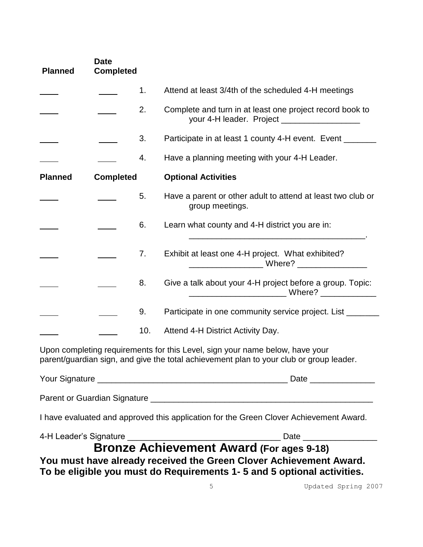| <b>Planned</b>                                                                                                                                                          | <b>Date</b><br><b>Completed</b> |     |                                                                                                                                              |
|-------------------------------------------------------------------------------------------------------------------------------------------------------------------------|---------------------------------|-----|----------------------------------------------------------------------------------------------------------------------------------------------|
|                                                                                                                                                                         |                                 | 1.  | Attend at least 3/4th of the scheduled 4-H meetings                                                                                          |
|                                                                                                                                                                         |                                 | 2.  | Complete and turn in at least one project record book to<br>your 4-H leader. Project _____________________                                   |
|                                                                                                                                                                         |                                 | 3.  | Participate in at least 1 county 4-H event. Event ______                                                                                     |
|                                                                                                                                                                         |                                 | 4.  | Have a planning meeting with your 4-H Leader.                                                                                                |
| <b>Planned</b>                                                                                                                                                          | <b>Completed</b>                |     | <b>Optional Activities</b>                                                                                                                   |
|                                                                                                                                                                         |                                 | 5.  | Have a parent or other adult to attend at least two club or<br>group meetings.                                                               |
|                                                                                                                                                                         |                                 | 6.  | Learn what county and 4-H district you are in:                                                                                               |
|                                                                                                                                                                         |                                 | 7.  | Exhibit at least one 4-H project. What exhibited?                                                                                            |
|                                                                                                                                                                         |                                 | 8.  | Give a talk about your 4-H project before a group. Topic:<br>Where? _______________                                                          |
|                                                                                                                                                                         |                                 | 9.  | Participate in one community service project. List _______                                                                                   |
|                                                                                                                                                                         |                                 | 10. | Attend 4-H District Activity Day.                                                                                                            |
| Upon completing requirements for this Level, sign your name below, have your<br>parent/guardian sign, and give the total achievement plan to your club or group leader. |                                 |     |                                                                                                                                              |
|                                                                                                                                                                         |                                 |     |                                                                                                                                              |
|                                                                                                                                                                         |                                 |     |                                                                                                                                              |
|                                                                                                                                                                         |                                 |     | I have evaluated and approved this application for the Green Clover Achievement Award.                                                       |
|                                                                                                                                                                         |                                 |     |                                                                                                                                              |
|                                                                                                                                                                         |                                 |     | You must have already received the Green Clover Achievement Award.<br>To be eligible you must do Requirements 1-5 and 5 optional activities. |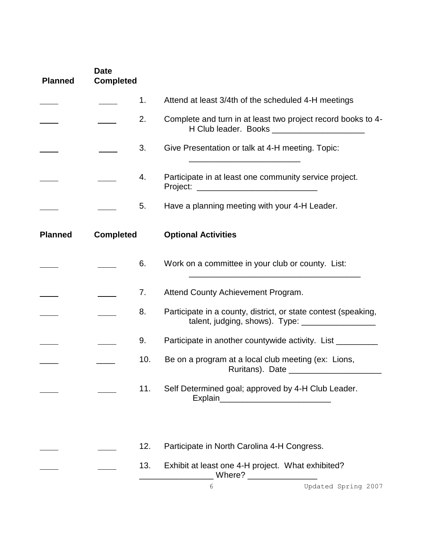| <b>Planned</b> | <b>Date</b><br><b>Completed</b> |     |                                                                                                                       |
|----------------|---------------------------------|-----|-----------------------------------------------------------------------------------------------------------------------|
|                |                                 | 1.  | Attend at least 3/4th of the scheduled 4-H meetings                                                                   |
|                |                                 | 2.  | Complete and turn in at least two project record books to 4-<br>H Club leader. Books _______________________          |
|                |                                 | 3.  | Give Presentation or talk at 4-H meeting. Topic:                                                                      |
|                |                                 | 4.  | Participate in at least one community service project.                                                                |
|                |                                 | 5.  | Have a planning meeting with your 4-H Leader.                                                                         |
| <b>Planned</b> | <b>Completed</b>                |     | <b>Optional Activities</b>                                                                                            |
|                |                                 | 6.  | Work on a committee in your club or county. List:                                                                     |
|                |                                 | 7.  | Attend County Achievement Program.                                                                                    |
|                |                                 | 8.  | Participate in a county, district, or state contest (speaking,<br>talent, judging, shows). Type: ____________________ |
|                |                                 | 9.  | Participate in another countywide activity. List _________                                                            |
|                |                                 | 10. | Be on a program at a local club meeting (ex: Lions,                                                                   |
|                |                                 | 11. | Self Determined goal; approved by 4-H Club Leader.                                                                    |
|                |                                 |     |                                                                                                                       |
|                |                                 | 12. | Participate in North Carolina 4-H Congress.                                                                           |
|                |                                 | 13. | Exhibit at least one 4-H project. What exhibited?<br>_ Where? ___________________                                     |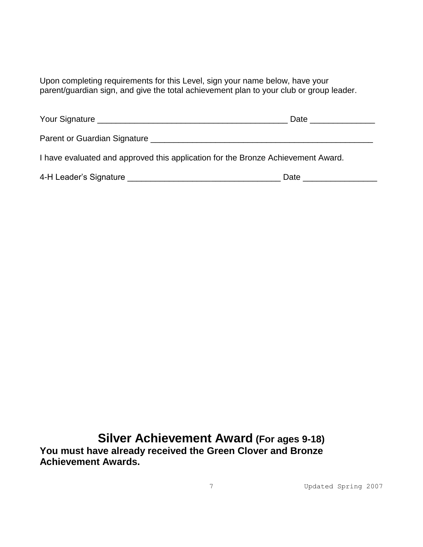Upon completing requirements for this Level, sign your name below, have your parent/guardian sign, and give the total achievement plan to your club or group leader.

| Your Signature                                                                                                  | Date |
|-----------------------------------------------------------------------------------------------------------------|------|
| Parent or Guardian Signature League and Contract and Contract of Contract of Contract of Contract of Contract o |      |
| I have evaluated and approved this application for the Bronze Achievement Award.                                |      |
| 4-H Leader's Signature <b>Example 2018</b>                                                                      | Date |

**Silver Achievement Award (For ages 9-18) You must have already received the Green Clover and Bronze Achievement Awards.**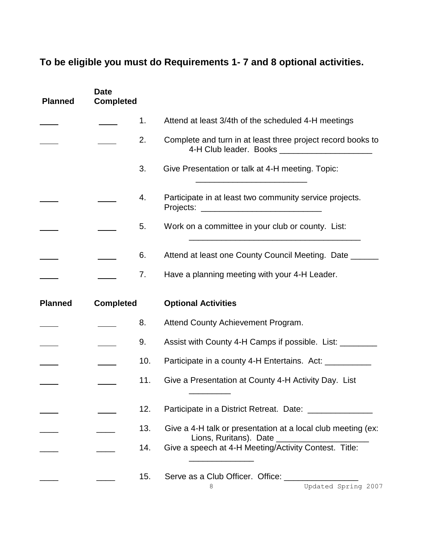### **To be eligible you must do Requirements 1- 7 and 8 optional activities.**

| <b>Planned</b> | <b>Date</b><br><b>Completed</b> |     |                                                                                                                 |
|----------------|---------------------------------|-----|-----------------------------------------------------------------------------------------------------------------|
|                |                                 | 1.  | Attend at least 3/4th of the scheduled 4-H meetings                                                             |
|                |                                 | 2.  | Complete and turn in at least three project record books to<br>4-H Club leader. Books _________________________ |
|                |                                 | 3.  | Give Presentation or talk at 4-H meeting. Topic:                                                                |
|                |                                 | 4.  | Participate in at least two community service projects.                                                         |
|                |                                 | 5.  | Work on a committee in your club or county. List:                                                               |
|                |                                 | 6.  | Attend at least one County Council Meeting. Date                                                                |
|                |                                 | 7.  | Have a planning meeting with your 4-H Leader.                                                                   |
|                |                                 |     |                                                                                                                 |
| <b>Planned</b> | <b>Completed</b>                |     | <b>Optional Activities</b>                                                                                      |
|                |                                 | 8.  | Attend County Achievement Program.                                                                              |
|                |                                 | 9.  | Assist with County 4-H Camps if possible. List: ________                                                        |
|                |                                 | 10. | Participate in a county 4-H Entertains. Act: __________                                                         |
|                |                                 | 11. | Give a Presentation at County 4-H Activity Day. List                                                            |
|                |                                 | 12. | Participate in a District Retreat. Date: _________________                                                      |
|                |                                 | 13. | Give a 4-H talk or presentation at a local club meeting (ex:                                                    |
|                |                                 | 14. | Lions, Ruritans). Date ____________________<br>Give a speech at 4-H Meeting/Activity Contest. Title:            |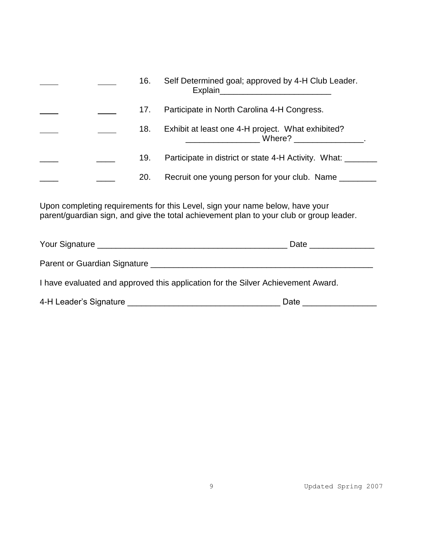|  | 16. | Self Determined goal; approved by 4-H Club Leader.<br>Explain<br>the contract of the contract of the contract of the contract of the contract of |
|--|-----|--------------------------------------------------------------------------------------------------------------------------------------------------|
|  | 17. | Participate in North Carolina 4-H Congress.                                                                                                      |
|  | 18. | Exhibit at least one 4-H project. What exhibited?<br>Where?                                                                                      |
|  | 19. | Participate in district or state 4-H Activity. What:                                                                                             |
|  | 20. | Recruit one young person for your club. Name                                                                                                     |

Upon completing requirements for this Level, sign your name below, have your parent/guardian sign, and give the total achievement plan to your club or group leader.

| Your Signature                                                                   | Date |
|----------------------------------------------------------------------------------|------|
| Parent or Guardian Signature                                                     |      |
| I have evaluated and approved this application for the Silver Achievement Award. |      |

| 4-H Leader's Signature<br>Date |
|--------------------------------|
|--------------------------------|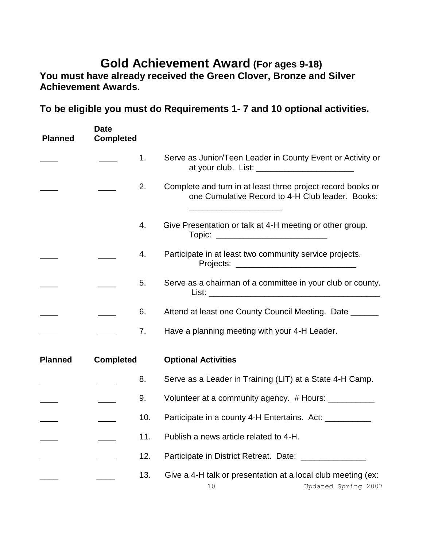## **Gold Achievement Award (For ages 9-18)**

You must have already received the Green Clover, Bronze and Silver **Achievement Awards.**

**To be eligible you must do Requirements 1- 7 and 10 optional activities.**

| <b>Planned</b> | <b>Date</b><br><b>Completed</b> |     |                                                                                                                 |
|----------------|---------------------------------|-----|-----------------------------------------------------------------------------------------------------------------|
|                |                                 | 1.  | Serve as Junior/Teen Leader in County Event or Activity or<br>at your club. List: ____________________________  |
|                |                                 | 2.  | Complete and turn in at least three project record books or<br>one Cumulative Record to 4-H Club leader. Books: |
|                |                                 | 4.  | Give Presentation or talk at 4-H meeting or other group.                                                        |
|                |                                 | 4.  | Participate in at least two community service projects.                                                         |
|                |                                 | 5.  | Serve as a chairman of a committee in your club or county.                                                      |
|                |                                 | 6.  | Attend at least one County Council Meeting. Date ______                                                         |
|                |                                 | 7.  | Have a planning meeting with your 4-H Leader.                                                                   |
| <b>Planned</b> | <b>Completed</b>                |     | <b>Optional Activities</b>                                                                                      |
|                |                                 | 8.  | Serve as a Leader in Training (LIT) at a State 4-H Camp.                                                        |
|                |                                 | 9.  | Volunteer at a community agency. # Hours: ___________                                                           |
|                |                                 | 10. | Participate in a county 4-H Entertains. Act: __________                                                         |
|                |                                 | 11. | Publish a news article related to 4-H.                                                                          |
|                |                                 | 12. | Participate in District Retreat. Date: ______________                                                           |
|                |                                 | 13. | Give a 4-H talk or presentation at a local club meeting (ex:<br>Updated Spring 2007<br>10                       |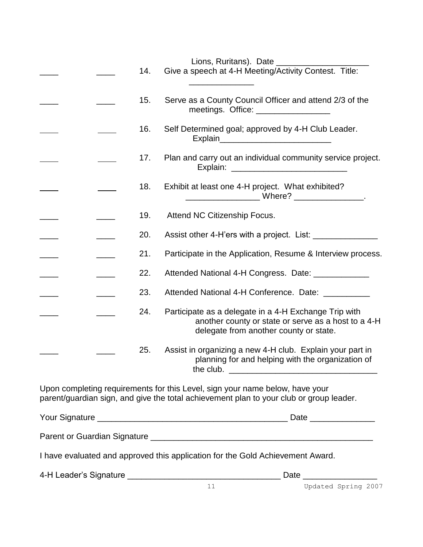Lions, Ruritans). Date

|  |  |     | Lions, Ruritans). Date ___                                                                                                                                              |
|--|--|-----|-------------------------------------------------------------------------------------------------------------------------------------------------------------------------|
|  |  | 14. | Give a speech at 4-H Meeting/Activity Contest. Title:                                                                                                                   |
|  |  | 15. | Serve as a County Council Officer and attend 2/3 of the<br>meetings. Office: __________________                                                                         |
|  |  | 16. | Self Determined goal; approved by 4-H Club Leader.                                                                                                                      |
|  |  | 17. | Plan and carry out an individual community service project.                                                                                                             |
|  |  | 18. | Exhibit at least one 4-H project. What exhibited?                                                                                                                       |
|  |  | 19. | Attend NC Citizenship Focus.                                                                                                                                            |
|  |  | 20. | Assist other 4-H'ers with a project. List:                                                                                                                              |
|  |  | 21. | Participate in the Application, Resume & Interview process.                                                                                                             |
|  |  | 22. | Attended National 4-H Congress. Date: ______________                                                                                                                    |
|  |  | 23. | Attended National 4-H Conference. Date: __________                                                                                                                      |
|  |  | 24. | Participate as a delegate in a 4-H Exchange Trip with<br>another county or state or serve as a host to a 4-H<br>delegate from another county or state.                  |
|  |  | 25. | Assist in organizing a new 4-H club. Explain your part in<br>planning for and helping with the organization of                                                          |
|  |  |     | Upon completing requirements for this Level, sign your name below, have your<br>parent/guardian sign, and give the total achievement plan to your club or group leader. |
|  |  |     |                                                                                                                                                                         |
|  |  |     |                                                                                                                                                                         |
|  |  |     | I have evaluated and approved this application for the Gold Achievement Award.                                                                                          |
|  |  |     |                                                                                                                                                                         |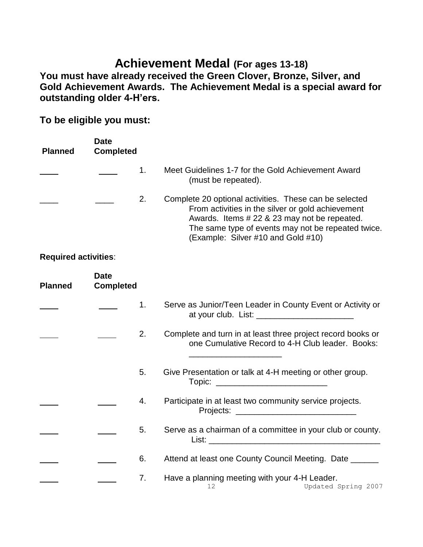## **Achievement Medal (For ages 13-18)**

**You must have already received the Green Clover, Bronze, Silver, and Gold Achievement Awards. The Achievement Medal is a special award for outstanding older 4-H'ers.**

**To be eligible you must:**

| <b>Planned</b>              | <b>Date</b><br><b>Completed</b> |    |                                                                                                                                                                                                                                                         |
|-----------------------------|---------------------------------|----|---------------------------------------------------------------------------------------------------------------------------------------------------------------------------------------------------------------------------------------------------------|
|                             |                                 | 1. | Meet Guidelines 1-7 for the Gold Achievement Award<br>(must be repeated).                                                                                                                                                                               |
|                             |                                 | 2. | Complete 20 optional activities. These can be selected<br>From activities in the silver or gold achievement<br>Awards. Items # 22 & 23 may not be repeated.<br>The same type of events may not be repeated twice.<br>(Example: Silver #10 and Gold #10) |
| <b>Required activities:</b> |                                 |    |                                                                                                                                                                                                                                                         |
| <b>Planned</b>              | <b>Date</b><br><b>Completed</b> |    |                                                                                                                                                                                                                                                         |
|                             |                                 | 1. | Serve as Junior/Teen Leader in County Event or Activity or                                                                                                                                                                                              |
|                             |                                 | 2. | Complete and turn in at least three project record books or<br>one Cumulative Record to 4-H Club leader. Books:                                                                                                                                         |
|                             |                                 | 5. | Give Presentation or talk at 4-H meeting or other group.<br>Topic: ____________________________                                                                                                                                                         |
|                             |                                 | 4. | Participate in at least two community service projects.                                                                                                                                                                                                 |
|                             |                                 | 5. | Serve as a chairman of a committee in your club or county.                                                                                                                                                                                              |
|                             |                                 | 6. | Attend at least one County Council Meeting. Date ______                                                                                                                                                                                                 |
|                             |                                 | 7. | Have a planning meeting with your 4-H Leader.<br>Updated Spring 2007<br>12                                                                                                                                                                              |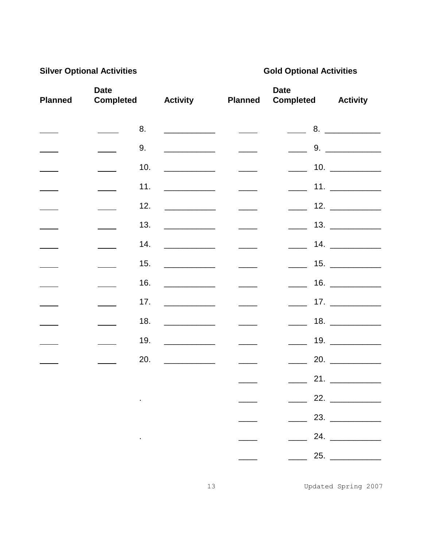### **Silver Optional Activities**

### **Gold Optional Activities**

| <b>Planned</b> | <b>Date</b><br><b>Completed</b> |                      | <b>Activity</b>                         | <b>Planned</b>                                    | <b>Date</b><br><b>Completed</b> | <b>Activity</b>        |
|----------------|---------------------------------|----------------------|-----------------------------------------|---------------------------------------------------|---------------------------------|------------------------|
|                |                                 | 8.                   |                                         | $\frac{1}{2}$ and $\frac{1}{2}$ and $\frac{1}{2}$ |                                 |                        |
|                |                                 | 9.                   |                                         |                                                   |                                 | 9.                     |
|                |                                 | 10.                  |                                         | $\frac{1}{1}$                                     | $\overline{\phantom{a}}$        | 10. $\qquad \qquad$    |
|                |                                 | 11.                  |                                         | $\frac{1}{1}$                                     | $\frac{1}{2}$ and $\frac{1}{2}$ |                        |
|                |                                 | 12.                  | <u>___________________</u> _            |                                                   | $\sim 10^{11}$                  | 12. $\qquad$           |
|                |                                 | 13.                  |                                         | $\frac{1}{1}$                                     |                                 |                        |
|                |                                 | 14.                  | <u> Liberal Communication</u>           | $\frac{1}{1}$                                     | $\mathcal{L}^{\text{max}}$      | 14. $\qquad$           |
|                |                                 | 15.                  |                                         |                                                   |                                 | 15.                    |
|                |                                 | 16.                  |                                         | $\frac{1}{1}$                                     |                                 |                        |
|                |                                 | 17.                  |                                         | $\frac{1}{1}$                                     | $\frac{1}{2}$ and $\frac{1}{2}$ | 17. $\qquad \qquad$    |
|                |                                 | 18.                  | <u> 1990 - Johann Barn, mars et al.</u> |                                                   | $\sim$                          | 18. $\qquad$           |
|                |                                 | 19.                  |                                         | $\frac{1}{1}$                                     | $\frac{1}{2}$ and $\frac{1}{2}$ | 19. $\qquad$           |
|                |                                 | 20.                  |                                         | $\frac{1}{1}$                                     |                                 | 20.                    |
|                |                                 |                      |                                         |                                                   |                                 |                        |
|                |                                 | $\blacksquare$       |                                         |                                                   |                                 | 22. _____________      |
|                |                                 |                      |                                         |                                                   |                                 | $\frac{23}{\sqrt{23}}$ |
|                |                                 | and the state of the |                                         |                                                   |                                 | 24. $\qquad$           |
|                |                                 |                      |                                         |                                                   |                                 | 25.                    |